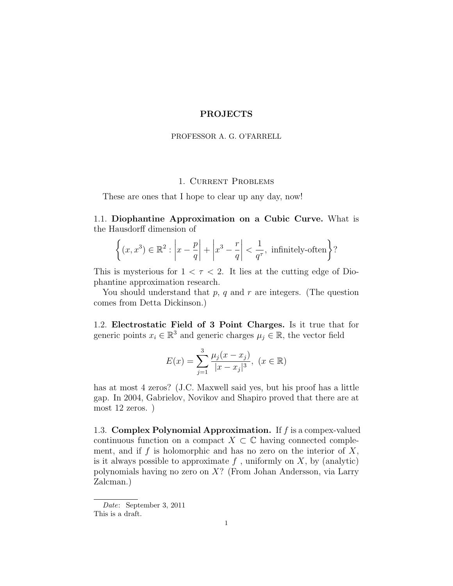## PROJECTS

#### PROFESSOR A. G. O'FARRELL

### 1. Current Problems

These are ones that I hope to clear up any day, now!

1.1. Diophantine Approximation on a Cubic Curve. What is the Hausdorff dimension of

$$
\left\{ (x, x^3) \in \mathbb{R}^2 : \left| x - \frac{p}{q} \right| + \left| x^3 - \frac{r}{q} \right| < \frac{1}{q^{\tau}}, \text{ infinitely-often} \right\}
$$
?

This is mysterious for  $1 < \tau < 2$ . It lies at the cutting edge of Diophantine approximation research.

You should understand that  $p, q$  and  $r$  are integers. (The question comes from Detta Dickinson.)

1.2. Electrostatic Field of 3 Point Charges. Is it true that for generic points  $x_i \in \mathbb{R}^3$  and generic charges  $\mu_j \in \mathbb{R}$ , the vector field

$$
E(x) = \sum_{j=1}^{3} \frac{\mu_j (x - x_j)}{|x - x_j|^3}, \ (x \in \mathbb{R})
$$

has at most 4 zeros? (J.C. Maxwell said yes, but his proof has a little gap. In 2004, Gabrielov, Novikov and Shapiro proved that there are at most 12 zeros. )

1.3. Complex Polynomial Approximation. If  $f$  is a compex-valued continuous function on a compact  $X \subset \mathbb{C}$  having connected complement, and if  $f$  is holomorphic and has no zero on the interior of  $X$ , is it always possible to approximate  $f$ , uniformly on  $X$ , by (analytic) polynomials having no zero on X? (From Johan Andersson, via Larry Zalcman.)

Date: September 3, 2011

This is a draft.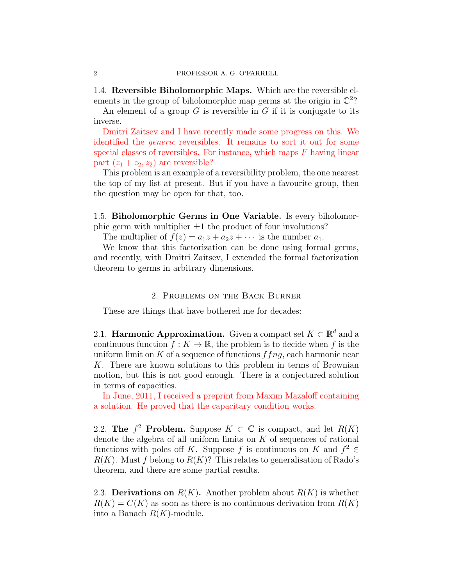1.4. Reversible Biholomorphic Maps. Which are the reversible elements in the group of biholomorphic map germs at the origin in  $\mathbb{C}^2$ ?

An element of a group  $G$  is reversible in  $G$  if it is conjugate to its inverse.

Dmitri Zaitsev and I have recently made some progress on this. We identified the generic reversibles. It remains to sort it out for some special classes of reversibles. For instance, which maps  $F$  having linear part  $(z_1 + z_2, z_2)$  are reversible?

This problem is an example of a reversibility problem, the one nearest the top of my list at present. But if you have a favourite group, then the question may be open for that, too.

1.5. Biholomorphic Germs in One Variable. Is every biholomorphic germ with multiplier  $\pm 1$  the product of four involutions?

The multiplier of  $f(z) = a_1z + a_2z + \cdots$  is the number  $a_1$ .

We know that this factorization can be done using formal germs, and recently, with Dmitri Zaitsev, I extended the formal factorization theorem to germs in arbitrary dimensions.

#### 2. Problems on the Back Burner

These are things that have bothered me for decades:

2.1. **Harmonic Approximation.** Given a compact set  $K \subset \mathbb{R}^d$  and a continuous function  $f: K \to \mathbb{R}$ , the problem is to decide when f is the uniform limit on K of a sequence of functions  $f f n g$ , each harmonic near K. There are known solutions to this problem in terms of Brownian motion, but this is not good enough. There is a conjectured solution in terms of capacities.

In June, 2011, I received a preprint from Maxim Mazaloff containing a solution. He proved that the capacitary condition works.

2.2. The  $f^2$  Problem. Suppose  $K \subset \mathbb{C}$  is compact, and let  $R(K)$ denote the algebra of all uniform limits on  $K$  of sequences of rational functions with poles of K. Suppose f is continuous on K and  $f^2 \in$  $R(K)$ . Must f belong to  $R(K)$ ? This relates to generalisation of Rado's theorem, and there are some partial results.

2.3. Derivations on  $R(K)$ . Another problem about  $R(K)$  is whether  $R(K) = C(K)$  as soon as there is no continuous derivation from  $R(K)$ into a Banach  $R(K)$ -module.